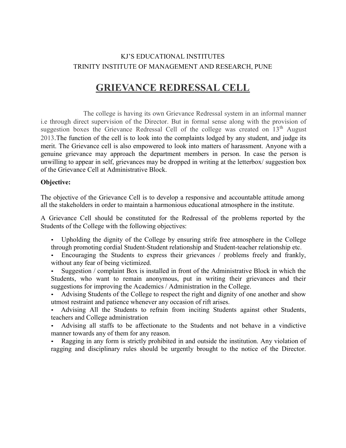## KJ'S EDUCATIONAL INSTITUTES TRINITY INSTITUTE OF MANAGEMENT AND RESEARCH, PUNE

## GRIEVANCE REDRESSAL CELL

The college is having its own Grievance Redressal system in an informal manner i.e through direct supervision of the Director. But in formal sense along with the provision of suggestion boxes the Grievance Redressal Cell of the college was created on 13<sup>th</sup> August 2013.The function of the cell is to look into the complaints lodged by any student, and judge its merit. The Grievance cell is also empowered to look into matters of harassment. Anyone with a genuine grievance may approach the department members in person. In case the person is unwilling to appear in self, grievances may be dropped in writing at the letterbox/ suggestion box of the Grievance Cell at Administrative Block.

#### Objective:

The objective of the Grievance Cell is to develop a responsive and accountable attitude among all the stakeholders in order to maintain a harmonious educational atmosphere in the institute.

A Grievance Cell should be constituted for the Redressal of the problems reported by the Students of the College with the following objectives:

• Upholding the dignity of the College by ensuring strife free atmosphere in the College through promoting cordial Student-Student relationship and Student-teacher relationship etc.

• Encouraging the Students to express their grievances / problems freely and frankly, without any fear of being victimized.

• Suggestion / complaint Box is installed in front of the Administrative Block in which the Students, who want to remain anonymous, put in writing their grievances and their suggestions for improving the Academics / Administration in the College.

• Advising Students of the College to respect the right and dignity of one another and show utmost restraint and patience whenever any occasion of rift arises.

• Advising All the Students to refrain from inciting Students against other Students, teachers and College administration

• Advising all staffs to be affectionate to the Students and not behave in a vindictive manner towards any of them for any reason.

• Ragging in any form is strictly prohibited in and outside the institution. Any violation of ragging and disciplinary rules should be urgently brought to the notice of the Director.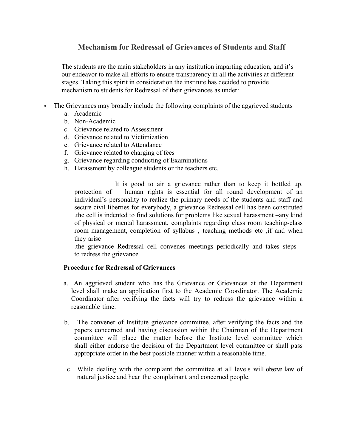### Mechanism for Redressal of Grievances of Students and Staff

The students are the main stakeholders in any institution imparting education, and it's our endeavor to make all efforts to ensure transparency in all the activities at different stages. Taking this spirit in consideration the institute has decided to provide mechanism to students for Redressal of their grievances as under:

- The Grievances may broadly include the following complaints of the aggrieved students
	- a. Academic
	- b. Non-Academic
	- c. Grievance related to Assessment
	- d. Grievance related to Victimization
	- e. Grievance related to Attendance
	- f. Grievance related to charging of fees
	- g. Grievance regarding conducting of Examinations
	- h. Harassment by colleague students or the teachers etc.

It is good to air a grievance rather than to keep it bottled up. protection of human rights is essential for all round development of an individual's personality to realize the primary needs of the students and staff and secure civil liberties for everybody, a grievance Redressal cell has been constituted .the cell is indented to find solutions for problems like sexual harassment –any kind of physical or mental harassment, complaints regarding class room teaching-class room management, completion of syllabus , teaching methods etc ,if and when they arise

.the grievance Redressal cell convenes meetings periodically and takes steps to redress the grievance.

#### Procedure for Redressal of Grievances

- a. An aggrieved student who has the Grievance or Grievances at the Department level shall make an application first to the Academic Coordinator. The Academic Coordinator after verifying the facts will try to redress the grievance within a reasonable time.
- b. The convener of Institute grievance committee, after verifying the facts and the papers concerned and having discussion within the Chairman of the Department committee will place the matter before the Institute level committee which shall either endorse the decision of the Department level committee or shall pass appropriate order in the best possible manner within a reasonable time.
- c. While dealing with the complaint the committee at all levels will observe law of natural justice and hear the complainant and concerned people.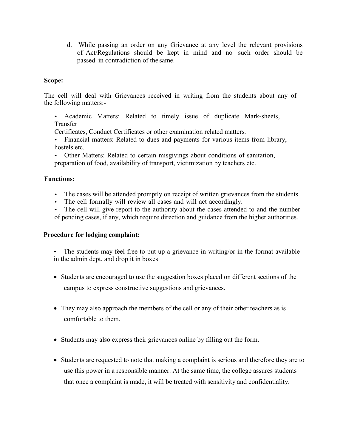d. While passing an order on any Grievance at any level the relevant provisions of Act/Regulations should be kept in mind and no such order should be passed in contradiction of the same.

#### Scope:

The cell will deal with Grievances received in writing from the students about any of the following matters:-

• Academic Matters: Related to timely issue of duplicate Mark-sheets, Transfer

Certificates, Conduct Certificates or other examination related matters.

• Financial matters: Related to dues and payments for various items from library, hostels etc.

• Other Matters: Related to certain misgivings about conditions of sanitation, preparation of food, availability of transport, victimization by teachers etc.

#### Functions:

- The cases will be attended promptly on receipt of written grievances from the students
- The cell formally will review all cases and will act accordingly.
- The cell will give report to the authority about the cases attended to and the number of pending cases, if any, which require direction and guidance from the higher authorities.

#### Procedure for lodging complaint:

- The students may feel free to put up a grievance in writing/or in the format available in the admin dept. and drop it in boxes
- Students are encouraged to use the suggestion boxes placed on different sections of the campus to express constructive suggestions and grievances.
- They may also approach the members of the cell or any of their other teachers as is comfortable to them.
- Students may also express their grievances online by filling out the form.
- Students are requested to note that making a complaint is serious and therefore they are to use this power in a responsible manner. At the same time, the college assures students that once a complaint is made, it will be treated with sensitivity and confidentiality.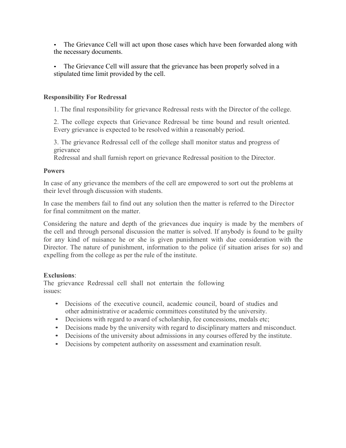- The Grievance Cell will act upon those cases which have been forwarded along with the necessary documents.
- The Grievance Cell will assure that the grievance has been properly solved in a stipulated time limit provided by the cell.

#### Responsibility For Redressal

1. The final responsibility for grievance Redressal rests with the Director of the college.

2. The college expects that Grievance Redressal be time bound and result oriented. Every grievance is expected to be resolved within a reasonably period.

3. The grievance Redressal cell of the college shall monitor status and progress of grievance

Redressal and shall furnish report on grievance Redressal position to the Director.

#### **Powers**

In case of any grievance the members of the cell are empowered to sort out the problems at their level through discussion with students.

In case the members fail to find out any solution then the matter is referred to the Director for final commitment on the matter.

Considering the nature and depth of the grievances due inquiry is made by the members of the cell and through personal discussion the matter is solved. If anybody is found to be guilty for any kind of nuisance he or she is given punishment with due consideration with the Director. The nature of punishment, information to the police (if situation arises for so) and expelling from the college as per the rule of the institute.

#### Exclusions:

The grievance Redressal cell shall not entertain the following issues:

- Decisions of the executive council, academic council, board of studies and other administrative or academic committees constituted by the university.
- Decisions with regard to award of scholarship, fee concessions, medals etc;
- Decisions made by the university with regard to disciplinary matters and misconduct.
- Decisions of the university about admissions in any courses offered by the institute.
- Decisions by competent authority on assessment and examination result.